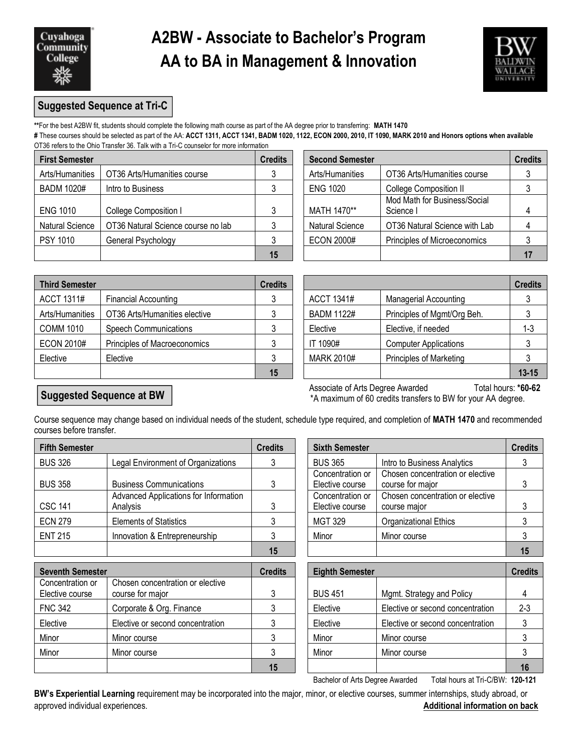

## **A2BW - Associate to Bachelor's Program AA to BA in Management & Innovation**



### **Suggested Sequence at Tri-C**

**\*\***For the best A2BW fit, students should complete the following math course as part of the AA degree prior to transferring: **MATH 1470 #** These courses should be selected as part of the AA: **ACCT 1311, ACCT 1341, BADM 1020, 1122, ECON 2000, 2010, IT 1090, MARK 2010 and Honors options when available**  OT36 refers to the Ohio Transfer 36. Talk with a Tri-C counselor for more information

| <b>First Semester</b>  |                                    | <b>Credits</b> | <b>Second Semester</b> |                                           | <b>Credits</b> |  |
|------------------------|------------------------------------|----------------|------------------------|-------------------------------------------|----------------|--|
| Arts/Humanities        | OT36 Arts/Humanities course        |                | Arts/Humanities        | OT36 Arts/Humanities course               |                |  |
| <b>BADM 1020#</b>      | Intro to Business                  |                | <b>ENG 1020</b>        | <b>College Composition II</b>             |                |  |
| <b>ENG 1010</b>        | College Composition I              |                | MATH 1470**            | Mod Math for Business/Social<br>Science I |                |  |
| <b>Natural Science</b> | OT36 Natural Science course no lab |                | <b>Natural Science</b> | OT36 Natural Science with Lab             |                |  |
| <b>PSY 1010</b>        | General Psychology                 |                | <b>ECON 2000#</b>      | Principles of Microeconomics              |                |  |
|                        |                                    | 15             |                        |                                           |                |  |

| edits | <b>Second Semester</b> |                                           | <b>Credits</b> |
|-------|------------------------|-------------------------------------------|----------------|
| 3     | Arts/Humanities        | OT36 Arts/Humanities course               |                |
| 3     | <b>ENG 1020</b>        | College Composition II                    |                |
| 3     | MATH 1470**            | Mod Math for Business/Social<br>Science I |                |
| 3     | <b>Natural Science</b> | OT36 Natural Science with Lab             |                |
| 3     | <b>ECON 2000#</b>      | Principles of Microeconomics              |                |
| 15    |                        |                                           |                |

| <b>Third Semester</b> |                               | <b>Credits</b>  |                   |                                | <b>Credits</b> |
|-----------------------|-------------------------------|-----------------|-------------------|--------------------------------|----------------|
| ACCT 1311#            | <b>Financial Accounting</b>   |                 | ACCT 1341#        | <b>Managerial Accounting</b>   |                |
| Arts/Humanities       | OT36 Arts/Humanities elective |                 | <b>BADM 1122#</b> | Principles of Mgmt/Org Beh.    |                |
| <b>COMM 1010</b>      | <b>Speech Communications</b>  |                 | Elective          | Elective, if needed            | 1-3            |
| <b>ECON 2010#</b>     | Principles of Macroeconomics  |                 | IT 1090#          | <b>Computer Applications</b>   |                |
| Elective              | Elective                      |                 | MARK 2010#        | <b>Principles of Marketing</b> |                |
|                       |                               | $\overline{AB}$ |                   |                                | 40.45          |

| edits |                   |                                | <b>Credits</b> |
|-------|-------------------|--------------------------------|----------------|
| 3     | <b>ACCT 1341#</b> | <b>Managerial Accounting</b>   |                |
| 3     | <b>BADM 1122#</b> | Principles of Mgmt/Org Beh.    |                |
| 3     | Elective          | Elective, if needed            | $1 - 3$        |
| 3     | IT 1090#          | <b>Computer Applications</b>   |                |
| 3     | <b>MARK 2010#</b> | <b>Principles of Marketing</b> |                |
| 15    |                   |                                | $13 - 15$      |

## **Suggested Sequence at BW**

Associate of Arts Degree Awarded Total hours: **\*60-62** \*A maximum of 60 credits transfers to BW for your AA degree.

Course sequence may change based on individual needs of the student, schedule type required, and completion of **MATH 1470** and recommended courses before transfer.

| <b>Fifth Semester</b> |                                                   | <b>Credits</b> | <b>Sixth Semester</b>                                                                       | <b>Credits</b> |
|-----------------------|---------------------------------------------------|----------------|---------------------------------------------------------------------------------------------|----------------|
| <b>BUS 326</b>        | Legal Environment of Organizations                |                | <b>BUS 365</b><br>Intro to Business Analytics                                               |                |
| <b>BUS 358</b>        | <b>Business Communications</b>                    |                | Chosen concentration or elective<br>Concentration or<br>course for major<br>Elective course |                |
| <b>CSC 141</b>        | Advanced Applications for Information<br>Analysis | ົ              | Chosen concentration or elective<br>Concentration or<br>Elective course<br>course maior     |                |
| <b>ECN 279</b>        | <b>Elements of Statistics</b>                     |                | <b>MGT 329</b><br>Organizational Ethics                                                     |                |
| <b>ENT 215</b>        | Innovation & Entrepreneurship                     |                | Minor<br>Minor course                                                                       |                |
|                       |                                                   | 15             |                                                                                             |                |

| <b>Seventh Semester</b>             |                                                      | <b>Credits</b> | <b>Eighth Semester</b> |                                  | <b>Credits</b> |
|-------------------------------------|------------------------------------------------------|----------------|------------------------|----------------------------------|----------------|
| Concentration or<br>Elective course | Chosen concentration or elective<br>course for major | 3              | <b>BUS 451</b>         | Mgmt. Strategy and Policy        | 4              |
| <b>FNC 342</b>                      | Corporate & Org. Finance                             |                | Elective               | Elective or second concentration | $2 - 3$        |
| Elective                            | Elective or second concentration                     | 3              | Elective               | Elective or second concentration |                |
| Minor                               | Minor course                                         |                | Minor                  | Minor course                     |                |
| Minor                               | Minor course                                         |                | Minor                  | Minor course                     |                |
|                                     |                                                      | 15             |                        |                                  | 16             |

| dits         | <b>Sixth Semester</b>               |                                                      | <b>Credits</b> |
|--------------|-------------------------------------|------------------------------------------------------|----------------|
| $\mathbf{3}$ | <b>BUS 365</b>                      | Intro to Business Analytics                          |                |
| 3            | Concentration or<br>Elective course | Chosen concentration or elective<br>course for major |                |
| 3            | Concentration or<br>Elective course | Chosen concentration or elective<br>course major     | 3              |
| 3            | <b>MGT 329</b>                      | Organizational Ethics                                |                |
| 3            | Minor                               | Minor course                                         |                |
| 15           |                                     |                                                      |                |

|                                                      | <b>Credits</b> | <b>Eighth Semester</b> | <b>Credits</b>                   |         |
|------------------------------------------------------|----------------|------------------------|----------------------------------|---------|
| Chosen concentration or elective<br>course for major |                | <b>BUS 451</b>         | Mgmt. Strategy and Policy        |         |
| Corporate & Org. Finance                             |                | Elective               | Elective or second concentration | $2 - 3$ |
| Elective or second concentration                     |                | Elective               | Elective or second concentration |         |
| Minor course                                         |                | Minor                  | Minor course                     |         |
| Minor course                                         |                | Minor                  | Minor course                     |         |
|                                                      | 15             |                        |                                  | 16      |

Bachelor of Arts Degree Awarded Total hours at Tri-C/BW: **120-121**

**BW's Experiential Learning** requirement may be incorporated into the major, minor, or elective courses, summer internships, study abroad, or approved individual experiences. **Additional information on back**